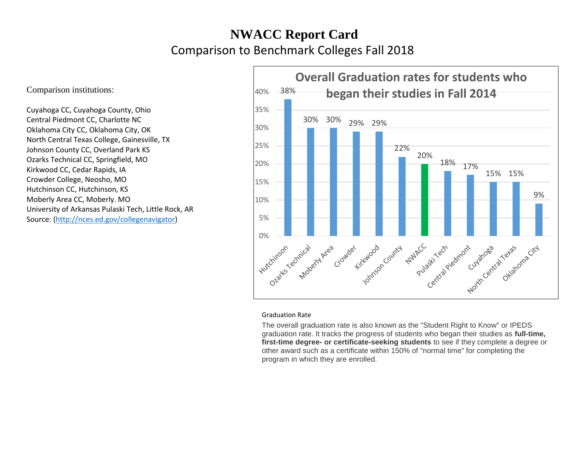## **NWACC Report Card**  Comparison to Benchmark Colleges Fall 2018

Comparison institutions:

Cuyahoga CC, Cuyahoga County, Ohio Central Piedmont CC, Charlotte NC Oklahoma City CC, Oklahoma City, OK North Central Texas College, Gainesville, TX Johnson County CC, Overland Park KS Ozarks Technical CC, Springfield, MO Kirkwood CC, Cedar Rapids, IA Crowder College, Neosho, MO Hutchinson CC, Hutchinson, KS Moberly Area CC, Moberly. MO University of Arkansas Pulaski Tech, Little Rock, AR Source: [\(http://nces.ed.gov/collegenavigator\)](http://nces.ed.gov/collegenavigator)



## Graduation Rate

The overall graduation rate is also known as the "Student Right to Know" or IPEDS graduation rate. It tracks the progress of students who began their studies as **full-time, first-time degree- or certificate-seeking students** to see if they complete a degree or other award such as a certificate within 150% of "normal time" for completing the program in which they are enrolled.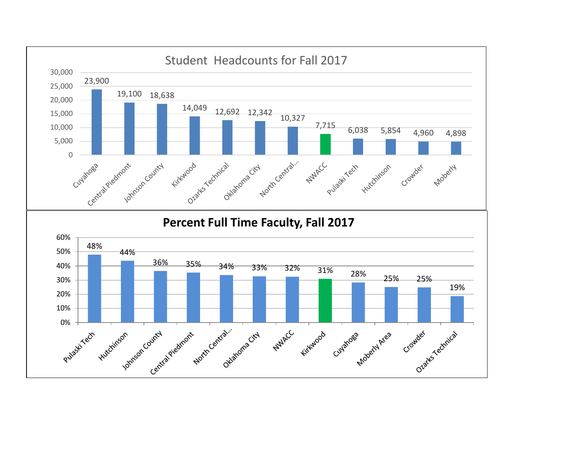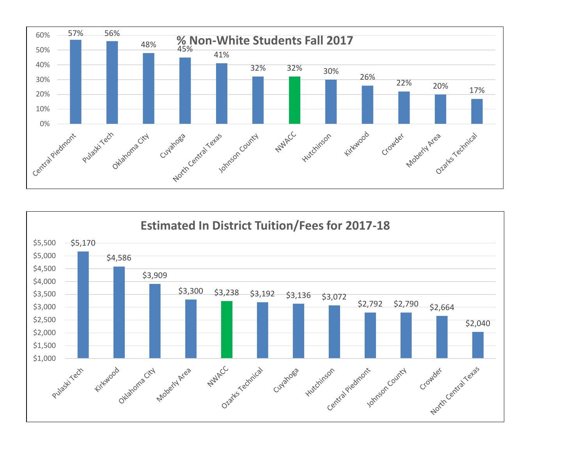